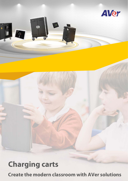

# **Charging carts**

**Create the modern classroom with AVer solutions**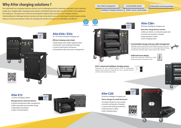*Customizable option*

We understand how managing classroom devices can be challenging and time consuming, especially if you're teaching a large class. Tangled cables, managing various devices, and limited classroom space can be a teacher's worst nightmare. We totally get it. The great news is that we've prioritized to address those concerns in our charging solutions. Understanding the challenges teachers may face with day-to-day device care, we've developed versatile designs and key features to meet every teachers' needs. Our charging cart solutions are easy to use, affordable, and efficient.

## **Customizable storage and easy cable management**

Adjustable and removable dividers allow flexible storage for classrooms managing mixed or large devices. AVer's cutting-edge cable technology securely locks and keeps cables in place with the clip-in dividers.



## **Solid and secure design**

Sturdy steel construction with built-in 3-point locking mechanism to keep devices safe.







- Advanced patented cable management
- Wall mountable and stackable design
- Adjustable slot dividers
- Space-saving footprint



**AVer's advanced intelligent charging system** Determines the best charging sequence with no programming required. Power demand is evaluated per zone to allocate electrical current to the zone that needs it most.

## **Why AVer charging solutions ?**

**10 years**

### *Solide, secure, sleek design*

*Easy cable management* 

*Intelligent charging solutions*

## **AVer E24c / E32c**

24 / 32 Device economy charging cart

### *Efficient charging made simple*

Sleek design with rubber topped surface

Automatic cycle charging technology

. . . . . . . . . . .

- 2-point steel locking mechanism
- Streamlined cable and power management

*Unbeatable warranty package*

## **AVer C36i+**

### *Save time, charge devices smarter*

36 Device intelligent charging cart

## **AVer C20i**

### *Game-changer for small classrooms*

20 Device intelligent charging cart

- Compact design for easy storage
- Smooth and seamless charging
- 3-point steel locking mechanism
- External power outlets
- LEDs charging status







- Slide-out shelves on industrial grade rails
- Smooth and seamless charging
- External power outlets
- LEDs charging status



## **AVer X12**

Watch Video

12 device charging cabinet

## *Manage all your classroom devices*

**16'' max**